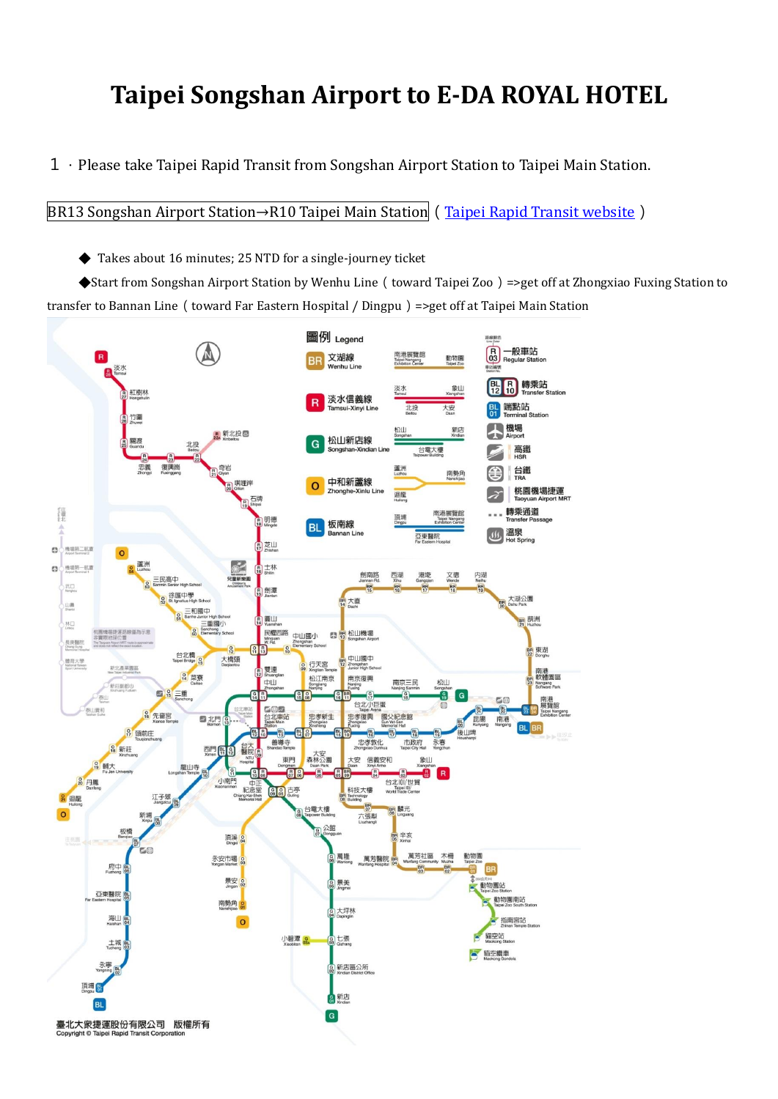## **Taipei Songshan Airport to E-DA ROYAL HOTEL**

1.Please take Taipei Rapid Transit from Songshan Airport Station to Taipei Main Station.

BR13 Songshan Airport Station→R10 Taipei Main Station ([Taipei Rapid Transit website](https://english.metro.taipei/cp.aspx?n=46A82F0C116392CB))

◆ Takes about 16 minutes; 25 NTD for a single-journey ticket

◆Start from Songshan Airport Station by Wenhu Line (toward Taipei Zoo)=>get off at Zhongxiao Fuxing Station to transfer to Bannan Line (toward Far Eastern Hospital / Dingpu) =>get off at Taipei Main Station

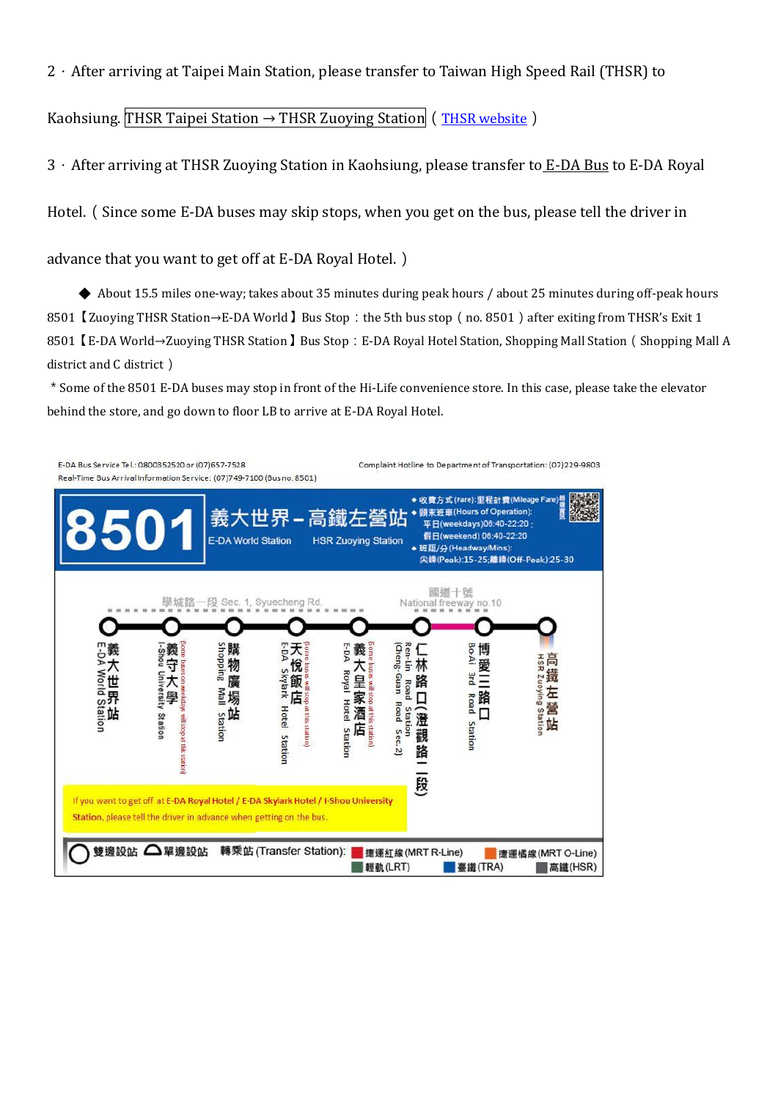2.After arriving at Taipei Main Station, please transfer to Taiwan High Speed Rail (THSR) to

Kaohsiung. THSR Taipei Station  $\rightarrow$  THSR Zuoying Station ([THSR website](https://en.thsrc.com.tw/))

3.After arriving at THSR Zuoying Station in Kaohsiung, please transfer to E-DA Bus to E-DA Royal

Hotel.(Since some E-DA buses may skip stops, when you get on the bus, please tell the driver in

advance that you want to get off at E-DA Royal Hotel.)

◆ About 15.5 miles one-way; takes about 35 minutes during peak hours / about 25 minutes during off-peak hours 8501 【Zuoying THSR Station→E-DA World 】Bus Stop: the 5th bus stop (no. 8501) after exiting from THSR's Exit 1 8501【E-DA World→Zuoying THSR Station】Bus Stop:E-DA Royal Hotel Station, Shopping Mall Station(Shopping Mall A district and C district)

\*Some of the 8501 E-DA buses may stop in front of the Hi-Life convenience store. In this case, please take the elevator behind the store, and go down to floor LB to arrive at E-DA Royal Hotel.

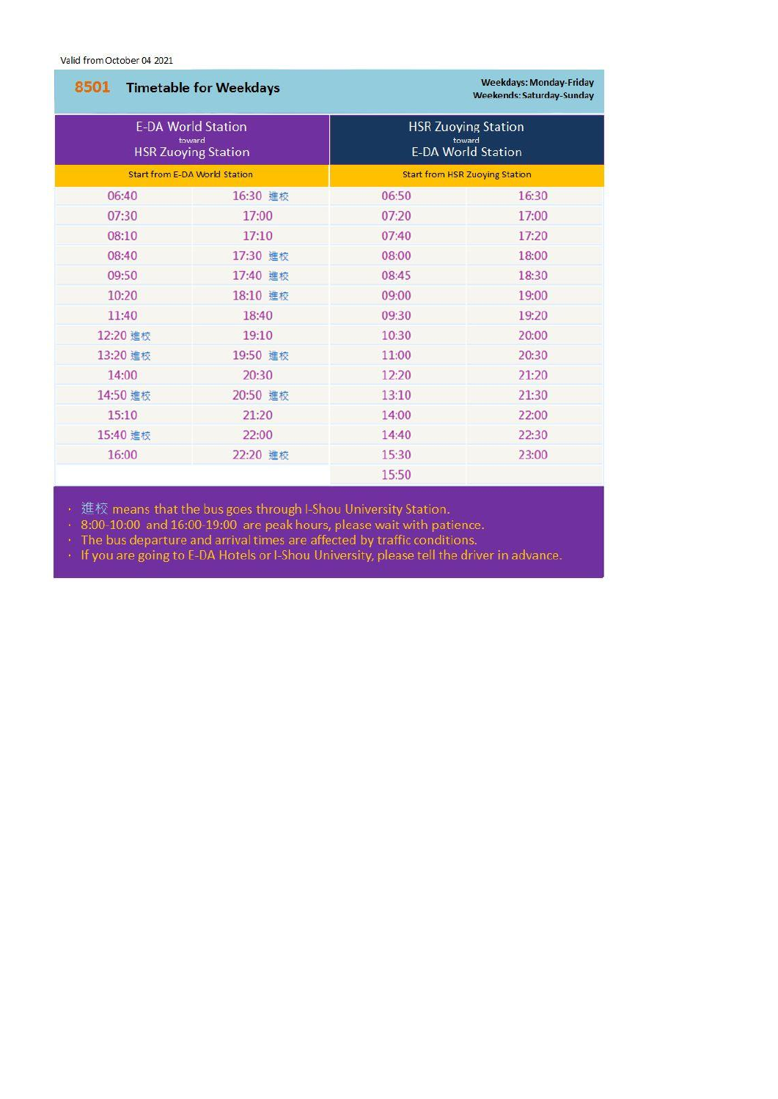Valid from October 04 2021

| 8501 Timetable for Weekdays<br><b>E-DA World Station</b><br>toward<br><b>HSR Zuoying Station</b><br><b>Start from E-DA World Station</b> |          | <b>Weekdays: Monday-Friday</b><br><b>Weekends: Saturday-Sunday</b><br><b>HSR Zuoying Station</b><br>toward<br><b>E-DA World Station</b><br><b>Start from HSR Zuoying Station</b> |       |       |          |       |       |
|------------------------------------------------------------------------------------------------------------------------------------------|----------|----------------------------------------------------------------------------------------------------------------------------------------------------------------------------------|-------|-------|----------|-------|-------|
|                                                                                                                                          |          |                                                                                                                                                                                  |       | 06:40 | 16:30 進校 | 06:50 | 16:30 |
|                                                                                                                                          |          |                                                                                                                                                                                  |       | 07:30 | 17:00    | 07:20 | 17:00 |
| 08:10                                                                                                                                    | 17:10    | 07:40                                                                                                                                                                            | 17:20 |       |          |       |       |
| 08:40                                                                                                                                    | 17:30 進校 | 08:00                                                                                                                                                                            | 18:00 |       |          |       |       |
| 09:50                                                                                                                                    | 17:40 進校 | 08:45                                                                                                                                                                            | 18:30 |       |          |       |       |
| 10:20                                                                                                                                    | 18:10 進校 | 09:00                                                                                                                                                                            | 19:00 |       |          |       |       |
| 11:40                                                                                                                                    | 18:40    | 09:30                                                                                                                                                                            | 19:20 |       |          |       |       |
| 12:20 進校                                                                                                                                 | 19:10    | 10:30                                                                                                                                                                            | 20:00 |       |          |       |       |
| 13:20 進校                                                                                                                                 | 19:50 進校 | 11:00                                                                                                                                                                            | 20:30 |       |          |       |       |
| 14:00                                                                                                                                    | 20:30    | 12:20                                                                                                                                                                            | 21:20 |       |          |       |       |
| 14:50 進校                                                                                                                                 | 20:50 進校 | 13:10                                                                                                                                                                            | 21:30 |       |          |       |       |
| 15:10                                                                                                                                    | 21:20    | 14:00                                                                                                                                                                            | 22:00 |       |          |       |       |
| 15:40 進校                                                                                                                                 | 22:00    | 14:40                                                                                                                                                                            | 22:30 |       |          |       |       |
| 16:00                                                                                                                                    | 22:20 進校 | 15:30                                                                                                                                                                            | 23:00 |       |          |       |       |
|                                                                                                                                          |          | 15:50                                                                                                                                                                            |       |       |          |       |       |

・ 進校 means that the bus goes through I-Shou University Station.<br>・ 8:00-10:00 and 16:00-19:00 are peak hours, please wait with patience.<br>・ The bus departure and arrival times are affected by traffic conditions.<br>・ If you